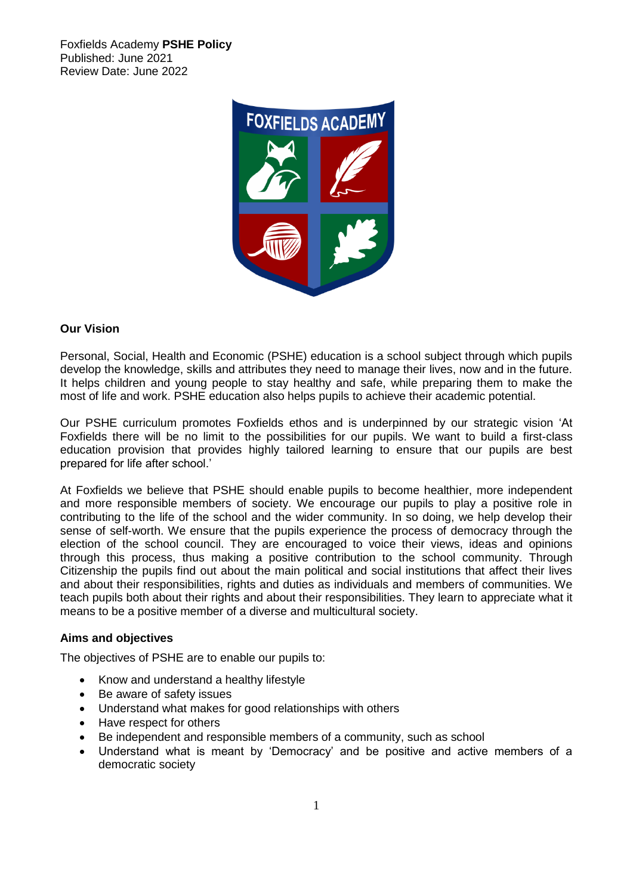Foxfields Academy **PSHE Policy** Published: June 2021 Review Date: June 2022



## **Our Vision**

Personal, Social, Health and Economic (PSHE) education is a school subject through which pupils develop the knowledge, skills and attributes they need to manage their lives, now and in the future. It helps children and young people to stay healthy and safe, while preparing them to make the most of life and work. PSHE education also helps pupils to achieve their academic potential.

Our PSHE curriculum promotes Foxfields ethos and is underpinned by our strategic vision 'At Foxfields there will be no limit to the possibilities for our pupils. We want to build a first-class education provision that provides highly tailored learning to ensure that our pupils are best prepared for life after school.'

At Foxfields we believe that PSHE should enable pupils to become healthier, more independent and more responsible members of society. We encourage our pupils to play a positive role in contributing to the life of the school and the wider community. In so doing, we help develop their sense of self-worth. We ensure that the pupils experience the process of democracy through the election of the school council. They are encouraged to voice their views, ideas and opinions through this process, thus making a positive contribution to the school community. Through Citizenship the pupils find out about the main political and social institutions that affect their lives and about their responsibilities, rights and duties as individuals and members of communities. We teach pupils both about their rights and about their responsibilities. They learn to appreciate what it means to be a positive member of a diverse and multicultural society.

## **Aims and objectives**

The objectives of PSHE are to enable our pupils to:

- Know and understand a healthy lifestyle
- Be aware of safety issues
- Understand what makes for good relationships with others
- Have respect for others
- Be independent and responsible members of a community, such as school
- Understand what is meant by 'Democracy' and be positive and active members of a democratic society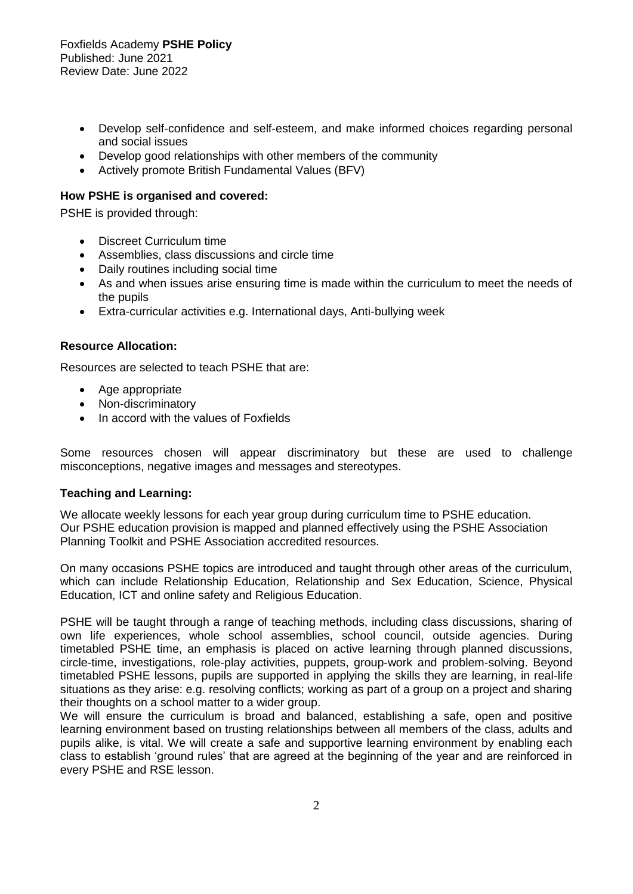- Develop self-confidence and self-esteem, and make informed choices regarding personal and social issues
- Develop good relationships with other members of the community
- Actively promote British Fundamental Values (BFV)

### **How PSHE is organised and covered:**

PSHE is provided through:

- Discreet Curriculum time
- Assemblies, class discussions and circle time
- Daily routines including social time
- As and when issues arise ensuring time is made within the curriculum to meet the needs of the pupils
- Extra-curricular activities e.g. International days, Anti-bullying week

### **Resource Allocation:**

Resources are selected to teach PSHE that are:

- Age appropriate
- Non-discriminatory
- In accord with the values of Foxfields

Some resources chosen will appear discriminatory but these are used to challenge misconceptions, negative images and messages and stereotypes.

#### **Teaching and Learning:**

We allocate weekly lessons for each year group during curriculum time to PSHE education. Our PSHE education provision is mapped and planned effectively using the PSHE Association Planning Toolkit and PSHE Association accredited resources.

On many occasions PSHE topics are introduced and taught through other areas of the curriculum, which can include Relationship Education, Relationship and Sex Education, Science, Physical Education, ICT and online safety and Religious Education.

PSHE will be taught through a range of teaching methods, including class discussions, sharing of own life experiences, whole school assemblies, school council, outside agencies. During timetabled PSHE time, an emphasis is placed on active learning through planned discussions, circle-time, investigations, role-play activities, puppets, group-work and problem-solving. Beyond timetabled PSHE lessons, pupils are supported in applying the skills they are learning, in real-life situations as they arise: e.g. resolving conflicts; working as part of a group on a project and sharing their thoughts on a school matter to a wider group.

We will ensure the curriculum is broad and balanced, establishing a safe, open and positive learning environment based on trusting relationships between all members of the class, adults and pupils alike, is vital. We will create a safe and supportive learning environment by enabling each class to establish 'ground rules' that are agreed at the beginning of the year and are reinforced in every PSHE and RSE lesson.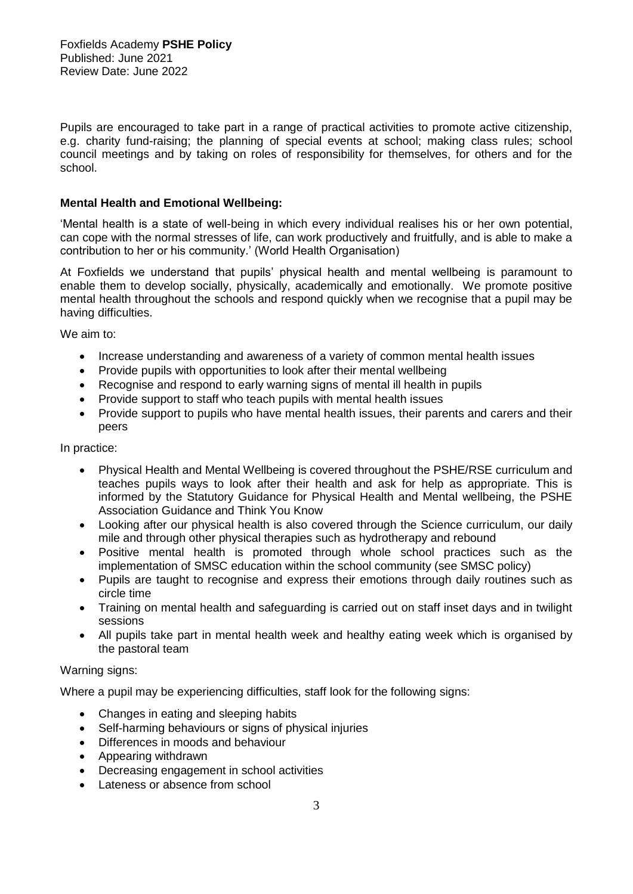Pupils are encouraged to take part in a range of practical activities to promote active citizenship, e.g. charity fund-raising; the planning of special events at school; making class rules; school council meetings and by taking on roles of responsibility for themselves, for others and for the school.

## **Mental Health and Emotional Wellbeing:**

'Mental health is a state of well-being in which every individual realises his or her own potential, can cope with the normal stresses of life, can work productively and fruitfully, and is able to make a contribution to her or his community.' (World Health Organisation)

At Foxfields we understand that pupils' physical health and mental wellbeing is paramount to enable them to develop socially, physically, academically and emotionally. We promote positive mental health throughout the schools and respond quickly when we recognise that a pupil may be having difficulties.

We aim to:

- Increase understanding and awareness of a variety of common mental health issues
- Provide pupils with opportunities to look after their mental wellbeing
- Recognise and respond to early warning signs of mental ill health in pupils
- Provide support to staff who teach pupils with mental health issues
- Provide support to pupils who have mental health issues, their parents and carers and their peers

In practice:

- Physical Health and Mental Wellbeing is covered throughout the PSHE/RSE curriculum and teaches pupils ways to look after their health and ask for help as appropriate. This is informed by the Statutory Guidance for Physical Health and Mental wellbeing, the PSHE Association Guidance and Think You Know
- Looking after our physical health is also covered through the Science curriculum, our daily mile and through other physical therapies such as hydrotherapy and rebound
- Positive mental health is promoted through whole school practices such as the implementation of SMSC education within the school community (see SMSC policy)
- Pupils are taught to recognise and express their emotions through daily routines such as circle time
- Training on mental health and safeguarding is carried out on staff inset days and in twilight sessions
- All pupils take part in mental health week and healthy eating week which is organised by the pastoral team

## Warning signs:

Where a pupil may be experiencing difficulties, staff look for the following signs:

- Changes in eating and sleeping habits
- Self-harming behaviours or signs of physical injuries
- Differences in moods and behaviour
- Appearing withdrawn
- Decreasing engagement in school activities
- Lateness or absence from school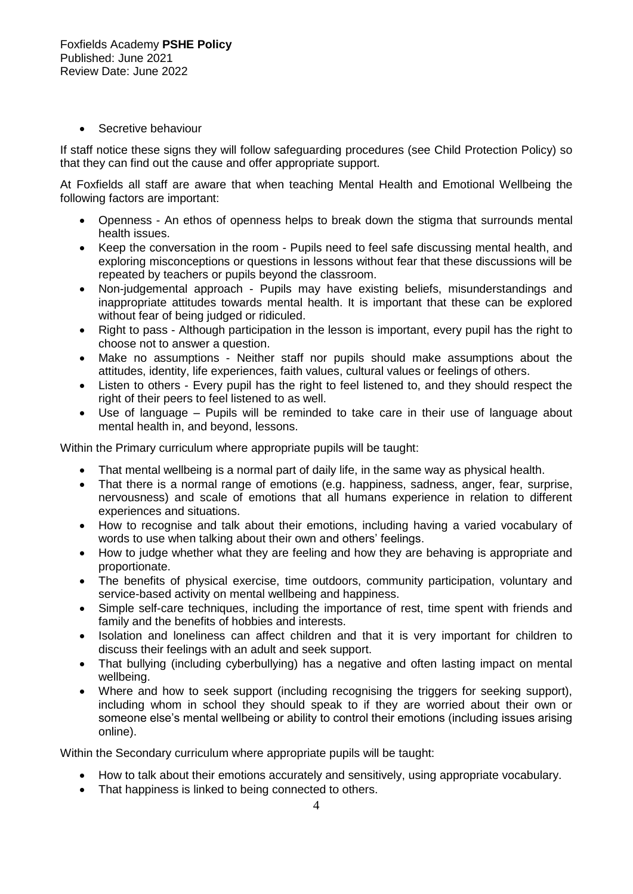• Secretive behaviour

If staff notice these signs they will follow safeguarding procedures (see Child Protection Policy) so that they can find out the cause and offer appropriate support.

At Foxfields all staff are aware that when teaching Mental Health and Emotional Wellbeing the following factors are important:

- Openness An ethos of openness helps to break down the stigma that surrounds mental health issues.
- Keep the conversation in the room Pupils need to feel safe discussing mental health, and exploring misconceptions or questions in lessons without fear that these discussions will be repeated by teachers or pupils beyond the classroom.
- Non-judgemental approach Pupils may have existing beliefs, misunderstandings and inappropriate attitudes towards mental health. It is important that these can be explored without fear of being judged or ridiculed.
- Right to pass Although participation in the lesson is important, every pupil has the right to choose not to answer a question.
- Make no assumptions Neither staff nor pupils should make assumptions about the attitudes, identity, life experiences, faith values, cultural values or feelings of others.
- Listen to others Every pupil has the right to feel listened to, and they should respect the right of their peers to feel listened to as well.
- Use of language Pupils will be reminded to take care in their use of language about mental health in, and beyond, lessons.

Within the Primary curriculum where appropriate pupils will be taught:

- That mental wellbeing is a normal part of daily life, in the same way as physical health.
- That there is a normal range of emotions (e.g. happiness, sadness, anger, fear, surprise, nervousness) and scale of emotions that all humans experience in relation to different experiences and situations.
- How to recognise and talk about their emotions, including having a varied vocabulary of words to use when talking about their own and others' feelings.
- How to judge whether what they are feeling and how they are behaving is appropriate and proportionate.
- The benefits of physical exercise, time outdoors, community participation, voluntary and service-based activity on mental wellbeing and happiness.
- Simple self-care techniques, including the importance of rest, time spent with friends and family and the benefits of hobbies and interests.
- Isolation and loneliness can affect children and that it is very important for children to discuss their feelings with an adult and seek support.
- That bullying (including cyberbullying) has a negative and often lasting impact on mental wellbeing.
- Where and how to seek support (including recognising the triggers for seeking support), including whom in school they should speak to if they are worried about their own or someone else's mental wellbeing or ability to control their emotions (including issues arising online).

Within the Secondary curriculum where appropriate pupils will be taught:

- How to talk about their emotions accurately and sensitively, using appropriate vocabulary.
- That happiness is linked to being connected to others.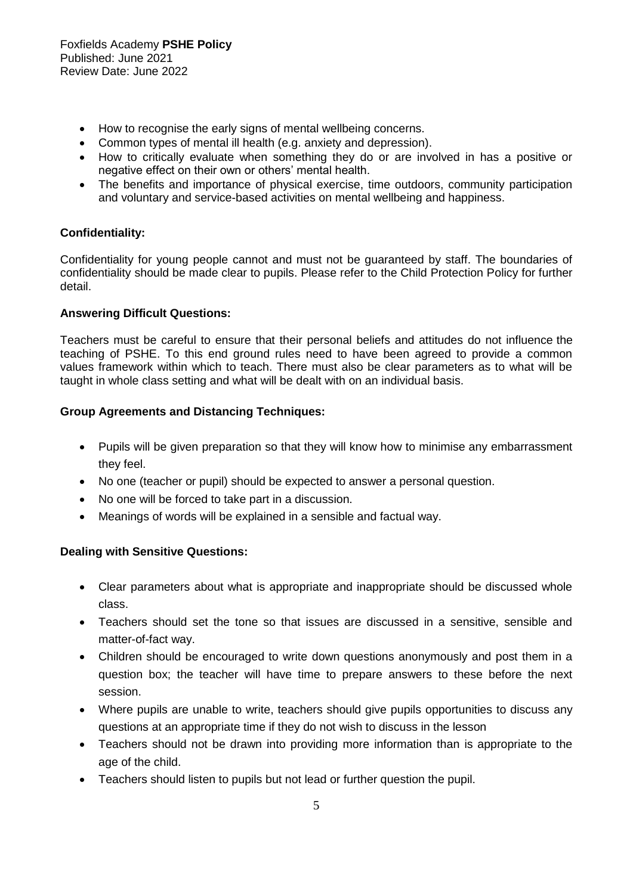- How to recognise the early signs of mental wellbeing concerns.
- Common types of mental ill health (e.g. anxiety and depression).
- How to critically evaluate when something they do or are involved in has a positive or negative effect on their own or others' mental health.
- The benefits and importance of physical exercise, time outdoors, community participation and voluntary and service-based activities on mental wellbeing and happiness.

# **Confidentiality:**

Confidentiality for young people cannot and must not be guaranteed by staff. The boundaries of confidentiality should be made clear to pupils. Please refer to the Child Protection Policy for further detail.

# **Answering Difficult Questions:**

Teachers must be careful to ensure that their personal beliefs and attitudes do not influence the teaching of PSHE. To this end ground rules need to have been agreed to provide a common values framework within which to teach. There must also be clear parameters as to what will be taught in whole class setting and what will be dealt with on an individual basis.

# **Group Agreements and Distancing Techniques:**

- Pupils will be given preparation so that they will know how to minimise any embarrassment they feel.
- No one (teacher or pupil) should be expected to answer a personal question.
- No one will be forced to take part in a discussion.
- Meanings of words will be explained in a sensible and factual way.

## **Dealing with Sensitive Questions:**

- Clear parameters about what is appropriate and inappropriate should be discussed whole class.
- Teachers should set the tone so that issues are discussed in a sensitive, sensible and matter-of-fact way.
- Children should be encouraged to write down questions anonymously and post them in a question box; the teacher will have time to prepare answers to these before the next session.
- Where pupils are unable to write, teachers should give pupils opportunities to discuss any questions at an appropriate time if they do not wish to discuss in the lesson
- Teachers should not be drawn into providing more information than is appropriate to the age of the child.
- Teachers should listen to pupils but not lead or further question the pupil.